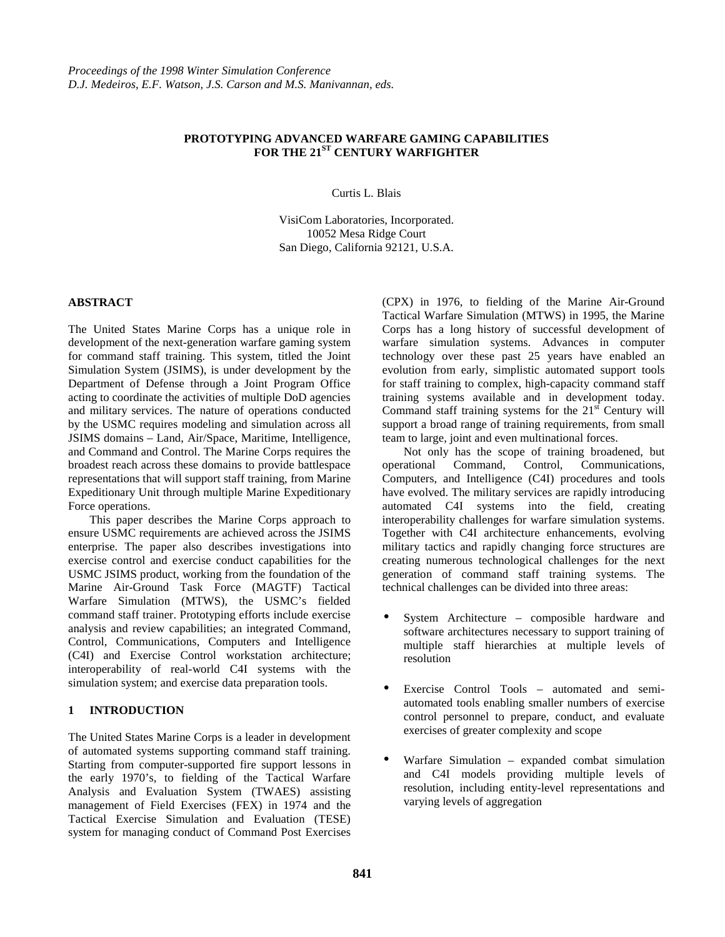# **PROTOTYPING ADVANCED WARFARE GAMING CAPABILITIES FOR THE 21ST CENTURY WARFIGHTER**

Curtis L. Blais

VisiCom Laboratories, Incorporated. 10052 Mesa Ridge Court San Diego, California 92121, U.S.A.

## **ABSTRACT**

The United States Marine Corps has a unique role in development of the next-generation warfare gaming system for command staff training. This system, titled the Joint Simulation System (JSIMS), is under development by the Department of Defense through a Joint Program Office acting to coordinate the activities of multiple DoD agencies and military services. The nature of operations conducted by the USMC requires modeling and simulation across all JSIMS domains – Land, Air/Space, Maritime, Intelligence, and Command and Control. The Marine Corps requires the broadest reach across these domains to provide battlespace representations that will support staff training, from Marine Expeditionary Unit through multiple Marine Expeditionary Force operations.

This paper describes the Marine Corps approach to ensure USMC requirements are achieved across the JSIMS enterprise. The paper also describes investigations into exercise control and exercise conduct capabilities for the USMC JSIMS product, working from the foundation of the Marine Air-Ground Task Force (MAGTF) Tactical Warfare Simulation (MTWS), the USMC's fielded command staff trainer. Prototyping efforts include exercise analysis and review capabilities; an integrated Command, Control, Communications, Computers and Intelligence (C4I) and Exercise Control workstation architecture; interoperability of real-world C4I systems with the simulation system; and exercise data preparation tools.

## **1 INTRODUCTION**

The United States Marine Corps is a leader in development of automated systems supporting command staff training. Starting from computer-supported fire support lessons in the early 1970's, to fielding of the Tactical Warfare Analysis and Evaluation System (TWAES) assisting management of Field Exercises (FEX) in 1974 and the Tactical Exercise Simulation and Evaluation (TESE) system for managing conduct of Command Post Exercises

(CPX) in 1976, to fielding of the Marine Air-Ground Tactical Warfare Simulation (MTWS) in 1995, the Marine Corps has a long history of successful development of warfare simulation systems. Advances in computer technology over these past 25 years have enabled an evolution from early, simplistic automated support tools for staff training to complex, high-capacity command staff training systems available and in development today. Command staff training systems for the  $21<sup>st</sup>$  Century will support a broad range of training requirements, from small team to large, joint and even multinational forces.

Not only has the scope of training broadened, but operational Command, Control, Communications, Computers, and Intelligence (C4I) procedures and tools have evolved. The military services are rapidly introducing automated C4I systems into the field, creating interoperability challenges for warfare simulation systems. Together with C4I architecture enhancements, evolving military tactics and rapidly changing force structures are creating numerous technological challenges for the next generation of command staff training systems. The technical challenges can be divided into three areas:

- System Architecture composible hardware and software architectures necessary to support training of multiple staff hierarchies at multiple levels of resolution
- Exercise Control Tools automated and semiautomated tools enabling smaller numbers of exercise control personnel to prepare, conduct, and evaluate exercises of greater complexity and scope
- Warfare Simulation expanded combat simulation and C4I models providing multiple levels of resolution, including entity-level representations and varying levels of aggregation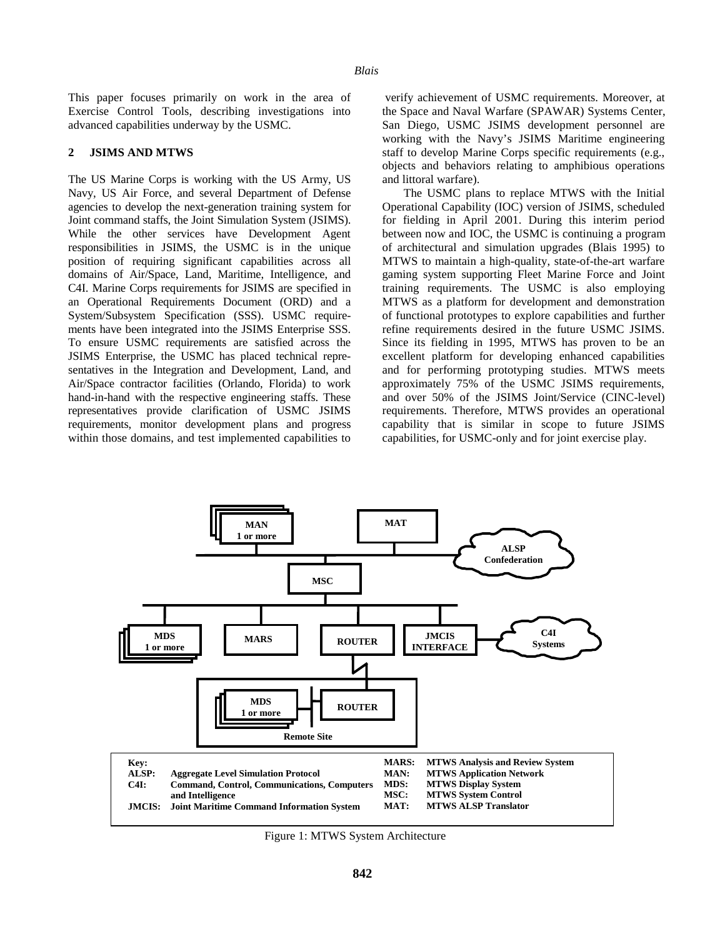This paper focuses primarily on work in the area of Exercise Control Tools, describing investigations into advanced capabilities underway by the USMC.

#### **2 JSIMS AND MTWS**

The US Marine Corps is working with the US Army, US Navy, US Air Force, and several Department of Defense agencies to develop the next-generation training system for Joint command staffs, the Joint Simulation System (JSIMS). While the other services have Development Agent responsibilities in JSIMS, the USMC is in the unique position of requiring significant capabilities across all domains of Air/Space, Land, Maritime, Intelligence, and C4I. Marine Corps requirements for JSIMS are specified in an Operational Requirements Document (ORD) and a System/Subsystem Specification (SSS). USMC requirements have been integrated into the JSIMS Enterprise SSS. To ensure USMC requirements are satisfied across the JSIMS Enterprise, the USMC has placed technical representatives in the Integration and Development, Land, and Air/Space contractor facilities (Orlando, Florida) to work hand-in-hand with the respective engineering staffs. These representatives provide clarification of USMC JSIMS requirements, monitor development plans and progress within those domains, and test implemented capabilities to

 verify achievement of USMC requirements. Moreover, at the Space and Naval Warfare (SPAWAR) Systems Center, San Diego, USMC JSIMS development personnel are working with the Navy's JSIMS Maritime engineering staff to develop Marine Corps specific requirements (e.g., objects and behaviors relating to amphibious operations and littoral warfare).

The USMC plans to replace MTWS with the Initial Operational Capability (IOC) version of JSIMS, scheduled for fielding in April 2001. During this interim period between now and IOC, the USMC is continuing a program of architectural and simulation upgrades (Blais 1995) to MTWS to maintain a high-quality, state-of-the-art warfare gaming system supporting Fleet Marine Force and Joint training requirements. The USMC is also employing MTWS as a platform for development and demonstration of functional prototypes to explore capabilities and further refine requirements desired in the future USMC JSIMS. Since its fielding in 1995, MTWS has proven to be an excellent platform for developing enhanced capabilities and for performing prototyping studies. MTWS meets approximately 75% of the USMC JSIMS requirements, and over 50% of the JSIMS Joint/Service (CINC-level) requirements. Therefore, MTWS provides an operational capability that is similar in scope to future JSIMS capabilities, for USMC-only and for joint exercise play.



Figure 1: MTWS System Architecture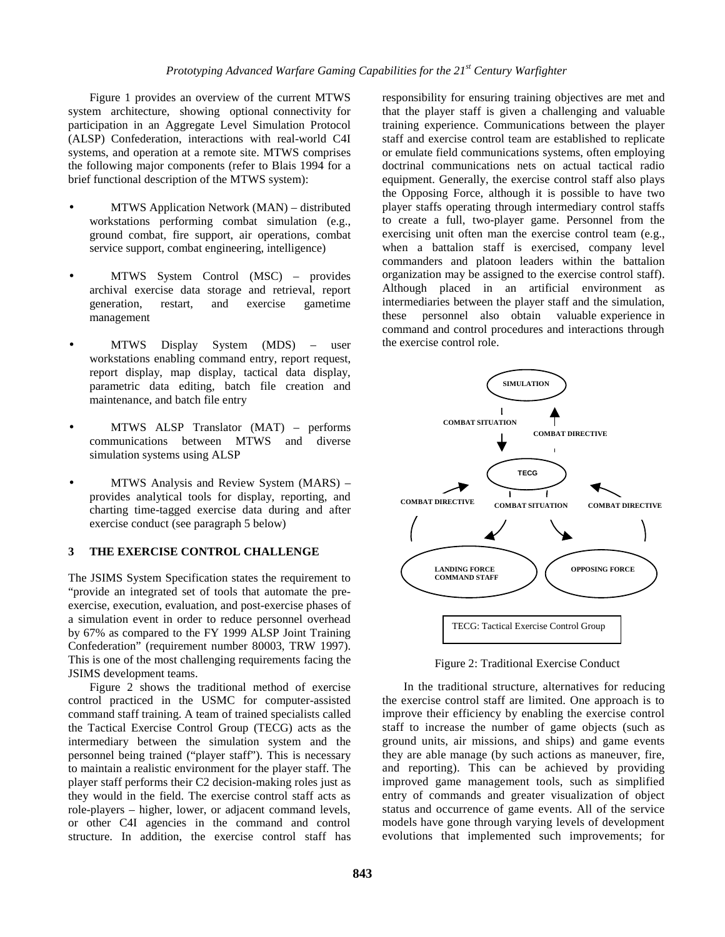Figure 1 provides an overview of the current MTWS system architecture, showing optional connectivity for participation in an Aggregate Level Simulation Protocol (ALSP) Confederation, interactions with real-world C4I systems, and operation at a remote site. MTWS comprises the following major components (refer to Blais 1994 for a brief functional description of the MTWS system):

- MTWS Application Network (MAN) distributed workstations performing combat simulation (e.g., ground combat, fire support, air operations, combat service support, combat engineering, intelligence)
- MTWS System Control (MSC) provides archival exercise data storage and retrieval, report generation, restart, and exercise gametime management
- MTWS Display System (MDS) user workstations enabling command entry, report request, report display, map display, tactical data display, parametric data editing, batch file creation and maintenance, and batch file entry
- MTWS ALSP Translator (MAT) performs communications between MTWS and diverse simulation systems using ALSP
- MTWS Analysis and Review System (MARS) provides analytical tools for display, reporting, and charting time-tagged exercise data during and after exercise conduct (see paragraph 5 below)

## **3 THE EXERCISE CONTROL CHALLENGE**

The JSIMS System Specification states the requirement to "provide an integrated set of tools that automate the preexercise, execution, evaluation, and post-exercise phases of a simulation event in order to reduce personnel overhead by 67% as compared to the FY 1999 ALSP Joint Training Confederation" (requirement number 80003, TRW 1997). This is one of the most challenging requirements facing the JSIMS development teams.

Figure 2 shows the traditional method of exercise control practiced in the USMC for computer-assisted command staff training. A team of trained specialists called the Tactical Exercise Control Group (TECG) acts as the intermediary between the simulation system and the personnel being trained ("player staff"). This is necessary to maintain a realistic environment for the player staff. The player staff performs their C2 decision-making roles just as they would in the field. The exercise control staff acts as role-players – higher, lower, or adjacent command levels, or other C4I agencies in the command and control structure. In addition, the exercise control staff has

responsibility for ensuring training objectives are met and that the player staff is given a challenging and valuable training experience. Communications between the player staff and exercise control team are established to replicate or emulate field communications systems, often employing doctrinal communications nets on actual tactical radio equipment. Generally, the exercise control staff also plays the Opposing Force, although it is possible to have two player staffs operating through intermediary control staffs to create a full, two-player game. Personnel from the exercising unit often man the exercise control team (e.g., when a battalion staff is exercised, company level commanders and platoon leaders within the battalion organization may be assigned to the exercise control staff). Although placed in an artificial environment as intermediaries between the player staff and the simulation, these personnel also obtain valuable experience in command and control procedures and interactions through the exercise control role.



Figure 2: Traditional Exercise Conduct

In the traditional structure, alternatives for reducing the exercise control staff are limited. One approach is to improve their efficiency by enabling the exercise control staff to increase the number of game objects (such as ground units, air missions, and ships) and game events they are able manage (by such actions as maneuver, fire, and reporting). This can be achieved by providing improved game management tools, such as simplified entry of commands and greater visualization of object status and occurrence of game events. All of the service models have gone through varying levels of development evolutions that implemented such improvements; for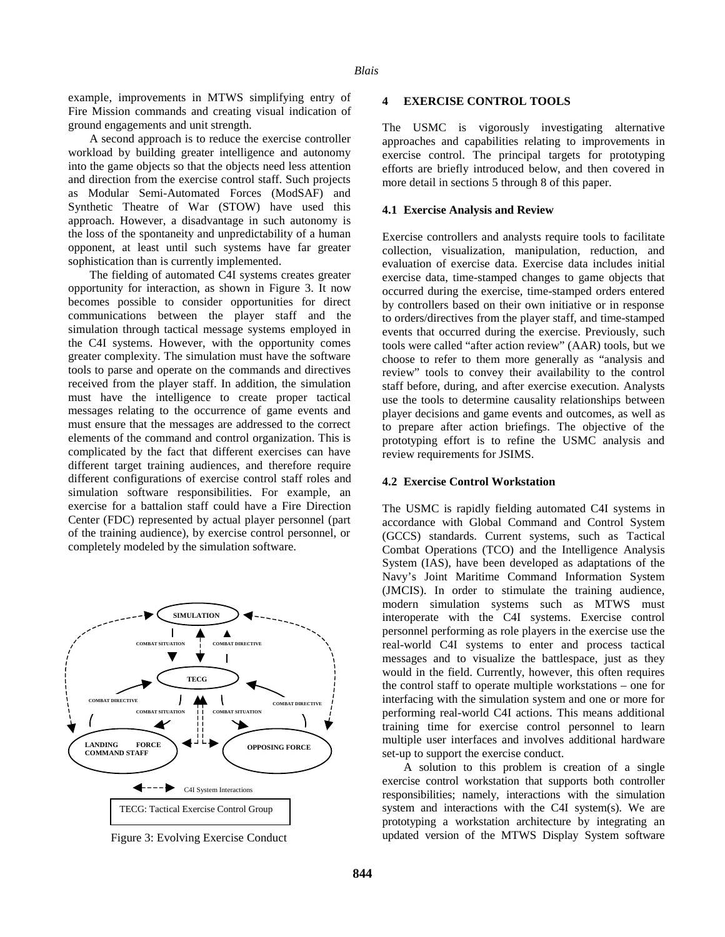example, improvements in MTWS simplifying entry of Fire Mission commands and creating visual indication of ground engagements and unit strength.

A second approach is to reduce the exercise controller workload by building greater intelligence and autonomy into the game objects so that the objects need less attention and direction from the exercise control staff. Such projects as Modular Semi-Automated Forces (ModSAF) and Synthetic Theatre of War (STOW) have used this approach. However, a disadvantage in such autonomy is the loss of the spontaneity and unpredictability of a human opponent, at least until such systems have far greater sophistication than is currently implemented.

The fielding of automated C4I systems creates greater opportunity for interaction, as shown in Figure 3. It now becomes possible to consider opportunities for direct communications between the player staff and the simulation through tactical message systems employed in the C4I systems. However, with the opportunity comes greater complexity. The simulation must have the software tools to parse and operate on the commands and directives received from the player staff. In addition, the simulation must have the intelligence to create proper tactical messages relating to the occurrence of game events and must ensure that the messages are addressed to the correct elements of the command and control organization. This is complicated by the fact that different exercises can have different target training audiences, and therefore require different configurations of exercise control staff roles and simulation software responsibilities. For example, an exercise for a battalion staff could have a Fire Direction Center (FDC) represented by actual player personnel (part of the training audience), by exercise control personnel, or completely modeled by the simulation software.



Figure 3: Evolving Exercise Conduct

#### **4 EXERCISE CONTROL TOOLS**

The USMC is vigorously investigating alternative approaches and capabilities relating to improvements in exercise control. The principal targets for prototyping efforts are briefly introduced below, and then covered in more detail in sections 5 through 8 of this paper.

#### **4.1 Exercise Analysis and Review**

Exercise controllers and analysts require tools to facilitate collection, visualization, manipulation, reduction, and evaluation of exercise data. Exercise data includes initial exercise data, time-stamped changes to game objects that occurred during the exercise, time-stamped orders entered by controllers based on their own initiative or in response to orders/directives from the player staff, and time-stamped events that occurred during the exercise. Previously, such tools were called "after action review" (AAR) tools, but we choose to refer to them more generally as "analysis and review" tools to convey their availability to the control staff before, during, and after exercise execution. Analysts use the tools to determine causality relationships between player decisions and game events and outcomes, as well as to prepare after action briefings. The objective of the prototyping effort is to refine the USMC analysis and review requirements for JSIMS.

### **4.2 Exercise Control Workstation**

The USMC is rapidly fielding automated C4I systems in accordance with Global Command and Control System (GCCS) standards. Current systems, such as Tactical Combat Operations (TCO) and the Intelligence Analysis System (IAS), have been developed as adaptations of the Navy's Joint Maritime Command Information System (JMCIS). In order to stimulate the training audience, modern simulation systems such as MTWS must interoperate with the C4I systems. Exercise control personnel performing as role players in the exercise use the real-world C4I systems to enter and process tactical messages and to visualize the battlespace, just as they would in the field. Currently, however, this often requires the control staff to operate multiple workstations – one for interfacing with the simulation system and one or more for performing real-world C4I actions. This means additional training time for exercise control personnel to learn multiple user interfaces and involves additional hardware set-up to support the exercise conduct.

A solution to this problem is creation of a single exercise control workstation that supports both controller responsibilities; namely, interactions with the simulation system and interactions with the C4I system(s). We are prototyping a workstation architecture by integrating an updated version of the MTWS Display System software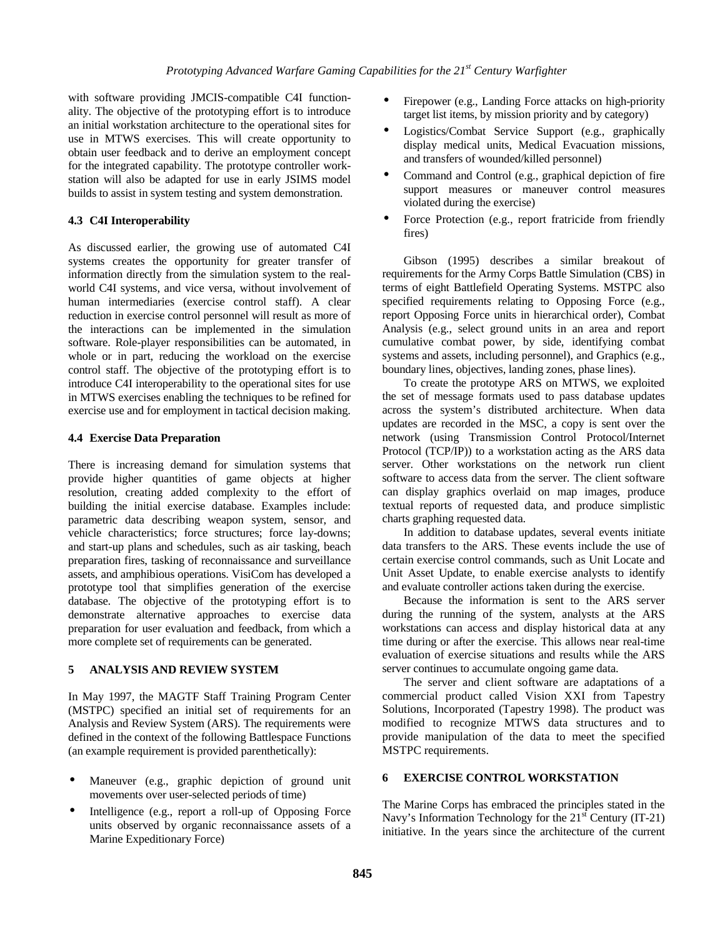with software providing JMCIS-compatible C4I functionality. The objective of the prototyping effort is to introduce an initial workstation architecture to the operational sites for use in MTWS exercises. This will create opportunity to obtain user feedback and to derive an employment concept for the integrated capability. The prototype controller workstation will also be adapted for use in early JSIMS model builds to assist in system testing and system demonstration.

# **4.3 C4I Interoperability**

As discussed earlier, the growing use of automated C4I systems creates the opportunity for greater transfer of information directly from the simulation system to the realworld C4I systems, and vice versa, without involvement of human intermediaries (exercise control staff). A clear reduction in exercise control personnel will result as more of the interactions can be implemented in the simulation software. Role-player responsibilities can be automated, in whole or in part, reducing the workload on the exercise control staff. The objective of the prototyping effort is to introduce C4I interoperability to the operational sites for use in MTWS exercises enabling the techniques to be refined for exercise use and for employment in tactical decision making.

# **4.4 Exercise Data Preparation**

There is increasing demand for simulation systems that provide higher quantities of game objects at higher resolution, creating added complexity to the effort of building the initial exercise database. Examples include: parametric data describing weapon system, sensor, and vehicle characteristics; force structures; force lay-downs; and start-up plans and schedules, such as air tasking, beach preparation fires, tasking of reconnaissance and surveillance assets, and amphibious operations. VisiCom has developed a prototype tool that simplifies generation of the exercise database. The objective of the prototyping effort is to demonstrate alternative approaches to exercise data preparation for user evaluation and feedback, from which a more complete set of requirements can be generated.

# **5 ANALYSIS AND REVIEW SYSTEM**

In May 1997, the MAGTF Staff Training Program Center (MSTPC) specified an initial set of requirements for an Analysis and Review System (ARS). The requirements were defined in the context of the following Battlespace Functions (an example requirement is provided parenthetically):

- Maneuver (e.g., graphic depiction of ground unit movements over user-selected periods of time)
- Intelligence (e.g., report a roll-up of Opposing Force units observed by organic reconnaissance assets of a Marine Expeditionary Force)
- Firepower (e.g., Landing Force attacks on high-priority target list items, by mission priority and by category)
- Logistics/Combat Service Support (e.g., graphically display medical units, Medical Evacuation missions, and transfers of wounded/killed personnel)
- Command and Control (e.g., graphical depiction of fire support measures or maneuver control measures violated during the exercise)
- Force Protection (e.g., report fratricide from friendly fires)

Gibson (1995) describes a similar breakout of requirements for the Army Corps Battle Simulation (CBS) in terms of eight Battlefield Operating Systems. MSTPC also specified requirements relating to Opposing Force (e.g., report Opposing Force units in hierarchical order), Combat Analysis (e.g., select ground units in an area and report cumulative combat power, by side, identifying combat systems and assets, including personnel), and Graphics (e.g., boundary lines, objectives, landing zones, phase lines).

To create the prototype ARS on MTWS, we exploited the set of message formats used to pass database updates across the system's distributed architecture. When data updates are recorded in the MSC, a copy is sent over the network (using Transmission Control Protocol/Internet Protocol (TCP/IP)) to a workstation acting as the ARS data server. Other workstations on the network run client software to access data from the server. The client software can display graphics overlaid on map images, produce textual reports of requested data, and produce simplistic charts graphing requested data.

In addition to database updates, several events initiate data transfers to the ARS. These events include the use of certain exercise control commands, such as Unit Locate and Unit Asset Update, to enable exercise analysts to identify and evaluate controller actions taken during the exercise.

Because the information is sent to the ARS server during the running of the system, analysts at the ARS workstations can access and display historical data at any time during or after the exercise. This allows near real-time evaluation of exercise situations and results while the ARS server continues to accumulate ongoing game data.

The server and client software are adaptations of a commercial product called Vision XXI from Tapestry Solutions, Incorporated (Tapestry 1998). The product was modified to recognize MTWS data structures and to provide manipulation of the data to meet the specified MSTPC requirements.

# **6 EXERCISE CONTROL WORKSTATION**

The Marine Corps has embraced the principles stated in the Navy's Information Technology for the  $21<sup>st</sup>$  Century (IT-21) initiative. In the years since the architecture of the current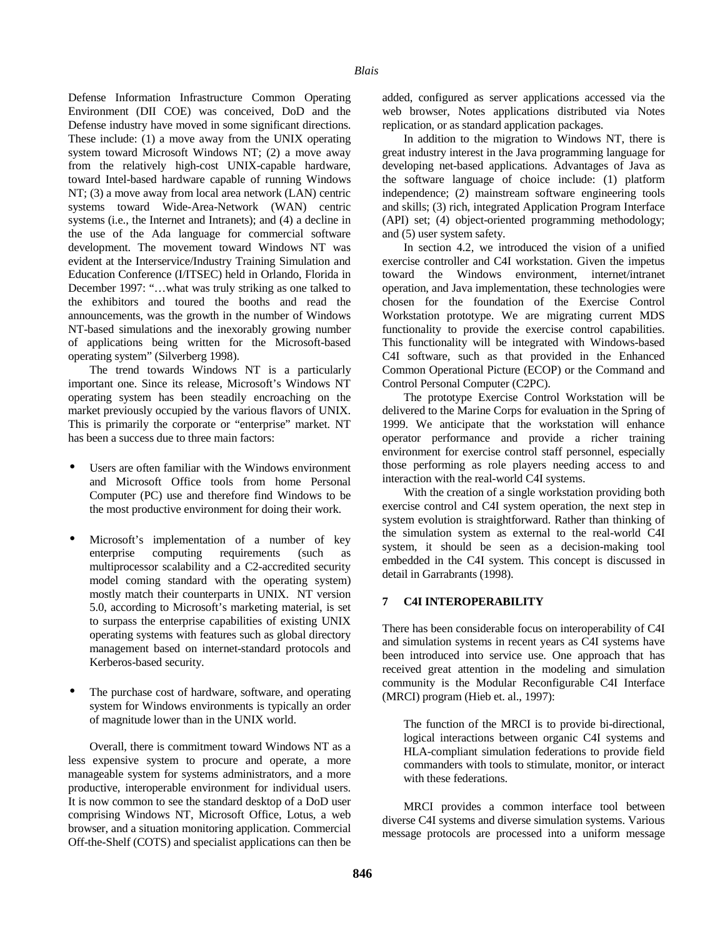Defense Information Infrastructure Common Operating Environment (DII COE) was conceived, DoD and the Defense industry have moved in some significant directions. These include: (1) a move away from the UNIX operating system toward Microsoft Windows NT; (2) a move away from the relatively high-cost UNIX-capable hardware, toward Intel-based hardware capable of running Windows NT; (3) a move away from local area network (LAN) centric systems toward Wide-Area-Network (WAN) centric systems (i.e., the Internet and Intranets); and (4) a decline in the use of the Ada language for commercial software development. The movement toward Windows NT was evident at the Interservice/Industry Training Simulation and Education Conference (I/ITSEC) held in Orlando, Florida in December 1997: "…what was truly striking as one talked to the exhibitors and toured the booths and read the announcements, was the growth in the number of Windows NT-based simulations and the inexorably growing number of applications being written for the Microsoft-based operating system" (Silverberg 1998).

The trend towards Windows NT is a particularly important one. Since its release, Microsoft's Windows NT operating system has been steadily encroaching on the market previously occupied by the various flavors of UNIX. This is primarily the corporate or "enterprise" market. NT has been a success due to three main factors:

- Users are often familiar with the Windows environment and Microsoft Office tools from home Personal Computer (PC) use and therefore find Windows to be the most productive environment for doing their work.
- Microsoft's implementation of a number of key enterprise computing requirements (such as multiprocessor scalability and a C2-accredited security model coming standard with the operating system) mostly match their counterparts in UNIX. NT version 5.0, according to Microsoft's marketing material, is set to surpass the enterprise capabilities of existing UNIX operating systems with features such as global directory management based on internet-standard protocols and Kerberos-based security.
- The purchase cost of hardware, software, and operating system for Windows environments is typically an order of magnitude lower than in the UNIX world.

Overall, there is commitment toward Windows NT as a less expensive system to procure and operate, a more manageable system for systems administrators, and a more productive, interoperable environment for individual users. It is now common to see the standard desktop of a DoD user comprising Windows NT, Microsoft Office, Lotus, a web browser, and a situation monitoring application. Commercial Off-the-Shelf (COTS) and specialist applications can then be

added, configured as server applications accessed via the web browser, Notes applications distributed via Notes replication, or as standard application packages.

In addition to the migration to Windows NT, there is great industry interest in the Java programming language for developing net-based applications. Advantages of Java as the software language of choice include: (1) platform independence; (2) mainstream software engineering tools and skills; (3) rich, integrated Application Program Interface (API) set; (4) object-oriented programming methodology; and (5) user system safety.

In section 4.2, we introduced the vision of a unified exercise controller and C4I workstation. Given the impetus toward the Windows environment, internet/intranet operation, and Java implementation, these technologies were chosen for the foundation of the Exercise Control Workstation prototype. We are migrating current MDS functionality to provide the exercise control capabilities. This functionality will be integrated with Windows-based C4I software, such as that provided in the Enhanced Common Operational Picture (ECOP) or the Command and Control Personal Computer (C2PC).

The prototype Exercise Control Workstation will be delivered to the Marine Corps for evaluation in the Spring of 1999. We anticipate that the workstation will enhance operator performance and provide a richer training environment for exercise control staff personnel, especially those performing as role players needing access to and interaction with the real-world C4I systems.

With the creation of a single workstation providing both exercise control and C4I system operation, the next step in system evolution is straightforward. Rather than thinking of the simulation system as external to the real-world C4I system, it should be seen as a decision-making tool embedded in the C4I system. This concept is discussed in detail in Garrabrants (1998).

## **7 C4I INTEROPERABILITY**

There has been considerable focus on interoperability of C4I and simulation systems in recent years as C4I systems have been introduced into service use. One approach that has received great attention in the modeling and simulation community is the Modular Reconfigurable C4I Interface (MRCI) program (Hieb et. al., 1997):

The function of the MRCI is to provide bi-directional, logical interactions between organic C4I systems and HLA-compliant simulation federations to provide field commanders with tools to stimulate, monitor, or interact with these federations.

MRCI provides a common interface tool between diverse C4I systems and diverse simulation systems. Various message protocols are processed into a uniform message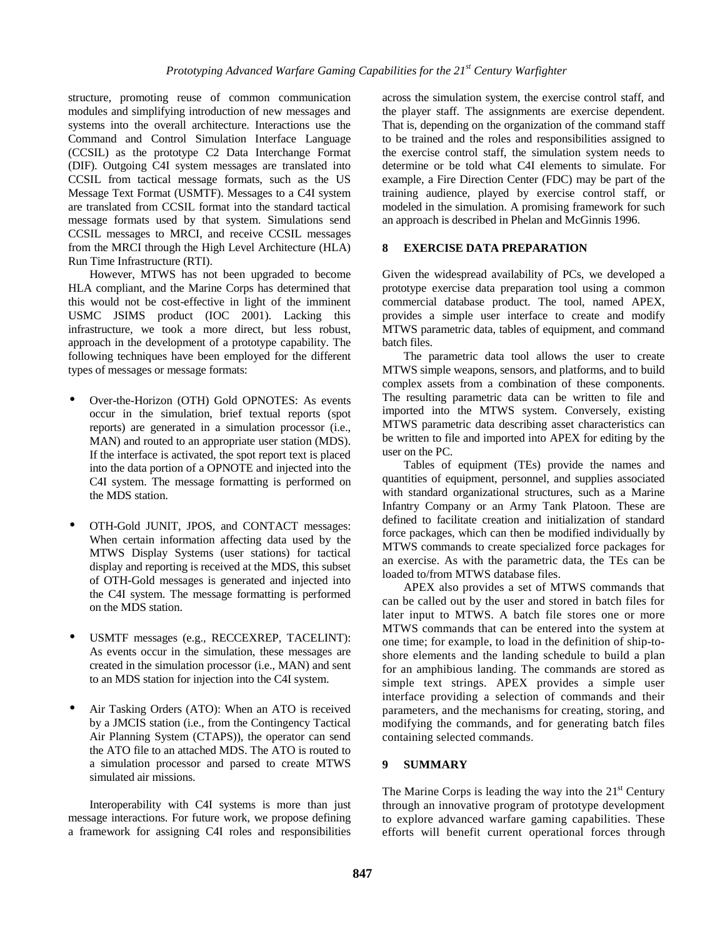structure, promoting reuse of common communication modules and simplifying introduction of new messages and systems into the overall architecture. Interactions use the Command and Control Simulation Interface Language (CCSIL) as the prototype C2 Data Interchange Format (DIF). Outgoing C4I system messages are translated into CCSIL from tactical message formats, such as the US Message Text Format (USMTF). Messages to a C4I system are translated from CCSIL format into the standard tactical message formats used by that system. Simulations send CCSIL messages to MRCI, and receive CCSIL messages from the MRCI through the High Level Architecture (HLA) Run Time Infrastructure (RTI).

However, MTWS has not been upgraded to become HLA compliant, and the Marine Corps has determined that this would not be cost-effective in light of the imminent USMC JSIMS product (IOC 2001). Lacking this infrastructure, we took a more direct, but less robust, approach in the development of a prototype capability. The following techniques have been employed for the different types of messages or message formats:

- Over-the-Horizon (OTH) Gold OPNOTES: As events occur in the simulation, brief textual reports (spot reports) are generated in a simulation processor (i.e., MAN) and routed to an appropriate user station (MDS). If the interface is activated, the spot report text is placed into the data portion of a OPNOTE and injected into the C4I system. The message formatting is performed on the MDS station.
- OTH-Gold JUNIT, JPOS, and CONTACT messages: When certain information affecting data used by the MTWS Display Systems (user stations) for tactical display and reporting is received at the MDS, this subset of OTH-Gold messages is generated and injected into the C4I system. The message formatting is performed on the MDS station.
- USMTF messages (e.g., RECCEXREP, TACELINT): As events occur in the simulation, these messages are created in the simulation processor (i.e., MAN) and sent to an MDS station for injection into the C4I system.
- Air Tasking Orders (ATO): When an ATO is received by a JMCIS station (i.e., from the Contingency Tactical Air Planning System (CTAPS)), the operator can send the ATO file to an attached MDS. The ATO is routed to a simulation processor and parsed to create MTWS simulated air missions.

Interoperability with C4I systems is more than just message interactions. For future work, we propose defining a framework for assigning C4I roles and responsibilities across the simulation system, the exercise control staff, and the player staff. The assignments are exercise dependent. That is, depending on the organization of the command staff to be trained and the roles and responsibilities assigned to the exercise control staff, the simulation system needs to determine or be told what C4I elements to simulate. For example, a Fire Direction Center (FDC) may be part of the training audience, played by exercise control staff, or modeled in the simulation. A promising framework for such an approach is described in Phelan and McGinnis 1996.

# **8 EXERCISE DATA PREPARATION**

Given the widespread availability of PCs, we developed a prototype exercise data preparation tool using a common commercial database product. The tool, named APEX, provides a simple user interface to create and modify MTWS parametric data, tables of equipment, and command batch files.

The parametric data tool allows the user to create MTWS simple weapons, sensors, and platforms, and to build complex assets from a combination of these components. The resulting parametric data can be written to file and imported into the MTWS system. Conversely, existing MTWS parametric data describing asset characteristics can be written to file and imported into APEX for editing by the user on the PC.

Tables of equipment (TEs) provide the names and quantities of equipment, personnel, and supplies associated with standard organizational structures, such as a Marine Infantry Company or an Army Tank Platoon. These are defined to facilitate creation and initialization of standard force packages, which can then be modified individually by MTWS commands to create specialized force packages for an exercise. As with the parametric data, the TEs can be loaded to/from MTWS database files.

APEX also provides a set of MTWS commands that can be called out by the user and stored in batch files for later input to MTWS. A batch file stores one or more MTWS commands that can be entered into the system at one time; for example, to load in the definition of ship-toshore elements and the landing schedule to build a plan for an amphibious landing. The commands are stored as simple text strings. APEX provides a simple user interface providing a selection of commands and their parameters, and the mechanisms for creating, storing, and modifying the commands, and for generating batch files containing selected commands.

# **9 SUMMARY**

The Marine Corps is leading the way into the  $21<sup>st</sup>$  Century through an innovative program of prototype development to explore advanced warfare gaming capabilities. These efforts will benefit current operational forces through